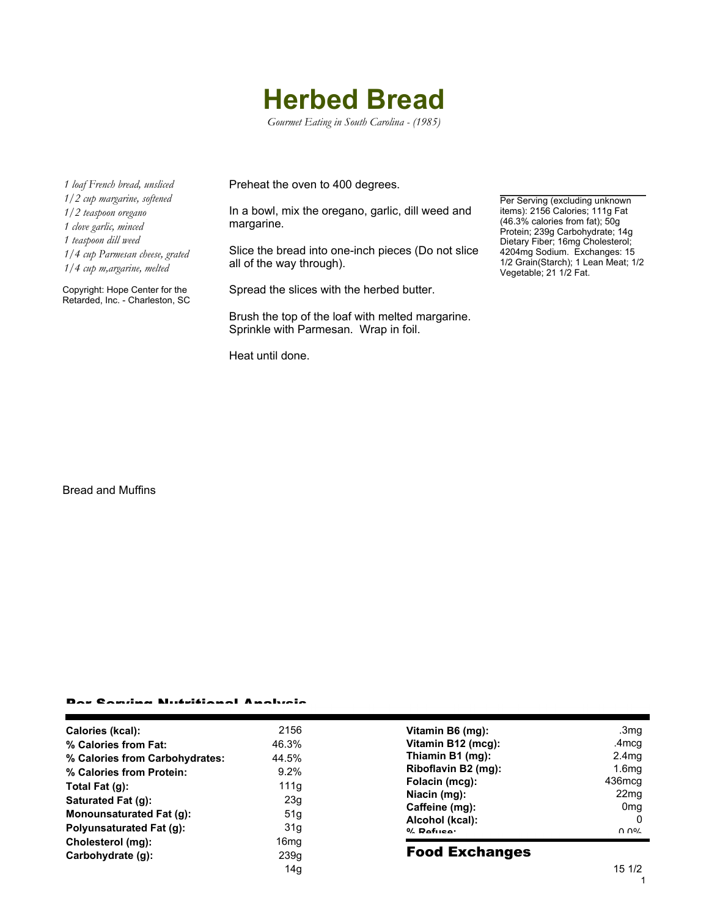## **Herbed Bread**

*Gourmet Eating in South Carolina - (1985)*

*1 loaf French bread, unsliced 1/2 cup margarine, softened 1/2 teaspoon oregano 1 clove garlic, minced 1 teaspoon dill weed 1/4 cup Parmesan cheese, grated 1/4 cup m,argarine, melted*

Copyright: Hope Center for the Retarded, Inc. - Charleston, SC Preheat the oven to 400 degrees.

In a bowl, mix the oregano, garlic, dill weed and margarine.

Slice the bread into one-inch pieces (Do not slice all of the way through).

Spread the slices with the herbed butter.

Brush the top of the loaf with melted margarine. Sprinkle with Parmesan. Wrap in foil.

Heat until done.

Per Serving (excluding unknown items): 2156 Calories; 111g Fat (46.3% calories from fat); 50g Protein; 239g Carbohydrate; 14g Dietary Fiber; 16mg Cholesterol; 4204mg Sodium. Exchanges: 15 1/2 Grain(Starch); 1 Lean Meat; 1/2 Vegetable; 21 1/2 Fat.

Bread and Muffins

## Per Serving Nutritional Analysis

| Calories (kcal):               | 2156             |
|--------------------------------|------------------|
| % Calories from Fat:           | 46.3%            |
| % Calories from Carbohydrates: | 44.5%            |
| % Calories from Protein:       | 9.2%             |
| Total Fat (g):                 | 111q             |
| Saturated Fat (g):             | 23q              |
| Monounsaturated Fat (g):       | 51a              |
| Polyunsaturated Fat (g):       | 31a              |
| Cholesterol (mg):              | 16 <sub>mq</sub> |
| Carbohydrate (q):              | 239q             |
|                                | 14a              |

| Vitamin B6 (mq):    | .3mq              |
|---------------------|-------------------|
|                     |                   |
| Vitamin B12 (mcg):  | .4 <sub>mcq</sub> |
| Thiamin B1 (mg):    | 2.4mg             |
| Riboflavin B2 (mg): | 1.6 <sub>mq</sub> |
| Folacin (mcg):      | 436mcg            |
| Niacin (mg):        | 22 <sub>mq</sub>  |
| Caffeine (mg):      | 0 <sub>mq</sub>   |
| Alcohol (kcal):     |                   |
| $0/$ Dofuson        | በ በ%              |

## Food Exchanges